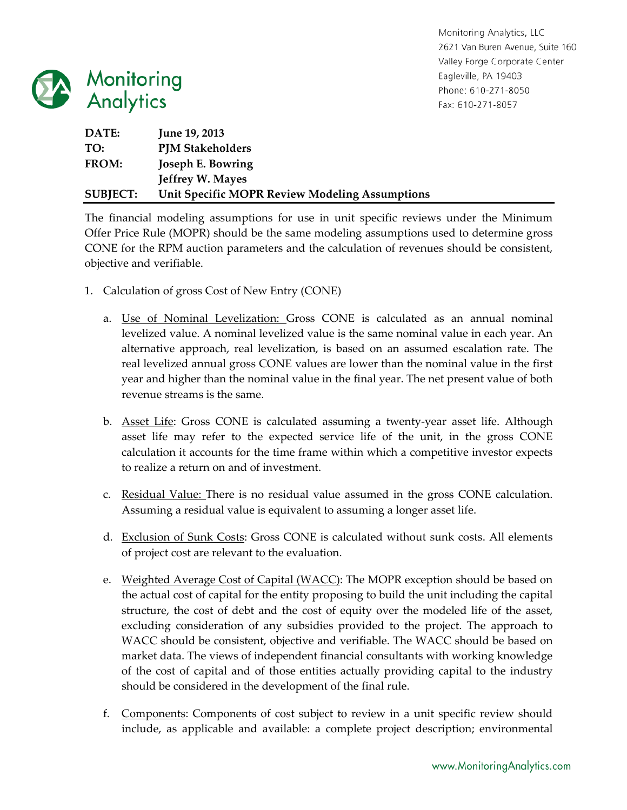

Monitoring Analytics, LLC 2621 Van Buren Avenue, Suite 160 Valley Forge Corporate Center Eagleville, PA 19403 Phone: 610-271-8050 Fax: 610-271-8057

| DATE:           | <b>June 19, 2013</b>                           |
|-----------------|------------------------------------------------|
| TO:             | <b>PJM Stakeholders</b>                        |
| FROM:           | Joseph E. Bowring                              |
|                 | <b>Jeffrey W. Mayes</b>                        |
| <b>SUBJECT:</b> | Unit Specific MOPR Review Modeling Assumptions |

The financial modeling assumptions for use in unit specific reviews under the Minimum Offer Price Rule (MOPR) should be the same modeling assumptions used to determine gross CONE for the RPM auction parameters and the calculation of revenues should be consistent, objective and verifiable.

- 1. Calculation of gross Cost of New Entry (CONE)
	- a. Use of Nominal Levelization: Gross CONE is calculated as an annual nominal levelized value. A nominal levelized value is the same nominal value in each year. An alternative approach, real levelization, is based on an assumed escalation rate. The real levelized annual gross CONE values are lower than the nominal value in the first year and higher than the nominal value in the final year. The net present value of both revenue streams is the same.
	- b. Asset Life: Gross CONE is calculated assuming a twenty‐year asset life. Although asset life may refer to the expected service life of the unit, in the gross CONE calculation it accounts for the time frame within which a competitive investor expects to realize a return on and of investment.
	- c. Residual Value: There is no residual value assumed in the gross CONE calculation. Assuming a residual value is equivalent to assuming a longer asset life.
	- d. Exclusion of Sunk Costs: Gross CONE is calculated without sunk costs. All elements of project cost are relevant to the evaluation.
	- e. Weighted Average Cost of Capital (WACC): The MOPR exception should be based on the actual cost of capital for the entity proposing to build the unit including the capital structure, the cost of debt and the cost of equity over the modeled life of the asset, excluding consideration of any subsidies provided to the project. The approach to WACC should be consistent, objective and verifiable. The WACC should be based on market data. The views of independent financial consultants with working knowledge of the cost of capital and of those entities actually providing capital to the industry should be considered in the development of the final rule.
	- f. Components: Components of cost subject to review in a unit specific review should include, as applicable and available: a complete project description; environmental